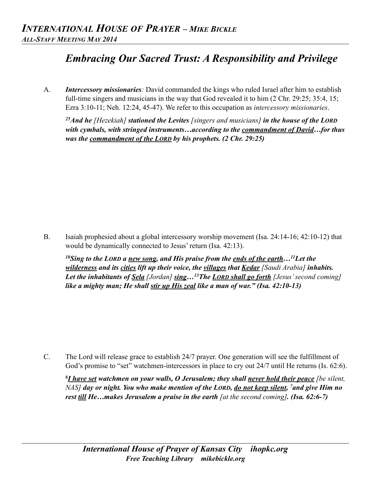## *Embracing Our Sacred Trust: A Responsibility and Privilege*

A. *Intercessory missionaries:* David commanded the kings who ruled Israel after him to establish full-time singers and musicians in the way that God revealed it to him (2 Chr. 29:25; 35:4, 15; Ezra 3:10-11; Neh. 12:24, 45-47). We refer to this occupation as *intercessory missionaries*.

*25And he [Hezekiah] stationed the Levites [singers and musicians] in the house of the LORD with cymbals, with stringed instruments…according to the commandment of David…for thus was the commandment of the LORD by his prophets. (2 Chr. 29:25)*

B. Isaiah prophesied about a global intercessory worship movement (Isa. 24:14-16; 42:10-12) that would be dynamically connected to Jesus' return (Isa. 42:13).

*10Sing to the LORD a new song, and His praise from the ends of the earth…11Let the wilderness and its cities lift up their voice, the villages that Kedar [Saudi Arabia] inhabits. Let the inhabitants of Sela [Jordan] sing…13The LORD shall go forth [Jesus' second coming] like a mighty man; He shall stir up His zeal like a man of war." (Isa. 42:10-13)* 

C. The Lord will release grace to establish 24/7 prayer. One generation will see the fulfillment of God's promise to "set" watchmen-intercessors in place to cry out 24/7 until He returns (Is. 62:6).

*6I have set watchmen on your walls, O Jerusalem; they shall never hold their peace [be silent, NAS] day or night. You who make mention of the LORD, do not keep silent, 7and give Him no rest till He…makes Jerusalem a praise in the earth [at the second coming]. (Isa. 62:6-7)*